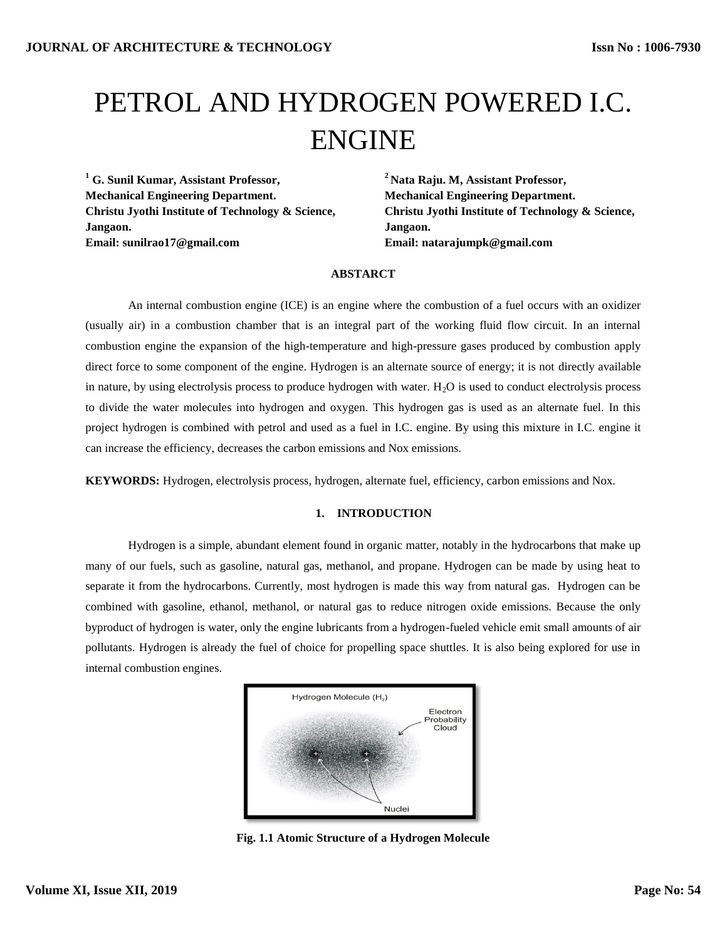# PETROL AND HYDROGEN POWERED I.C. ENGINE

**<sup>1</sup> G. Sunil Kumar, Assistant Professor, Mechanical Engineering Department. Christu Jyothi Institute of Technology & Science, Jangaon. Email: sunilrao17@gmail.com**

**<sup>2</sup>Nata Raju. M, Assistant Professor, Mechanical Engineering Department. Christu Jyothi Institute of Technology & Science, Jangaon. Email: natarajumpk@gmail.com**

# **ABSTARCT**

An internal combustion engine (ICE) is an engine where the combustion of a fuel occurs with an oxidizer (usually air) in a combustion chamber that is an integral part of the working fluid flow circuit. In an internal combustion engine the expansion of the high-temperature and high-pressure gases produced by combustion apply direct force to some component of the engine. Hydrogen is an alternate source of energy; it is not directly available in nature, by using electrolysis process to produce hydrogen with water.  $H<sub>2</sub>O$  is used to conduct electrolysis process to divide the water molecules into hydrogen and oxygen. This hydrogen gas is used as an alternate fuel. In this project hydrogen is combined with petrol and used as a fuel in I.C. engine. By using this mixture in I.C. engine it can increase the efficiency, decreases the carbon emissions and Nox emissions.

**KEYWORDS:** Hydrogen, electrolysis process, hydrogen, alternate fuel, efficiency, carbon emissions and Nox.

## **1. INTRODUCTION**

Hydrogen is a simple, abundant element found in organic matter, notably in the hydrocarbons that make up many of our fuels, such as gasoline, natural gas, methanol, and propane. Hydrogen can be made by using heat to separate it from the hydrocarbons. Currently, most hydrogen is made this way from natural gas. Hydrogen can be combined with gasoline, ethanol, methanol, or natural gas to reduce nitrogen oxide emissions. Because the only byproduct of hydrogen is water, only the engine lubricants from a hydrogen-fueled vehicle emit small amounts of air pollutants. Hydrogen is already the fuel of choice for propelling space shuttles. It is also being explored for use in internal combustion engines.



**Fig. 1.1 Atomic Structure of a Hydrogen Molecule**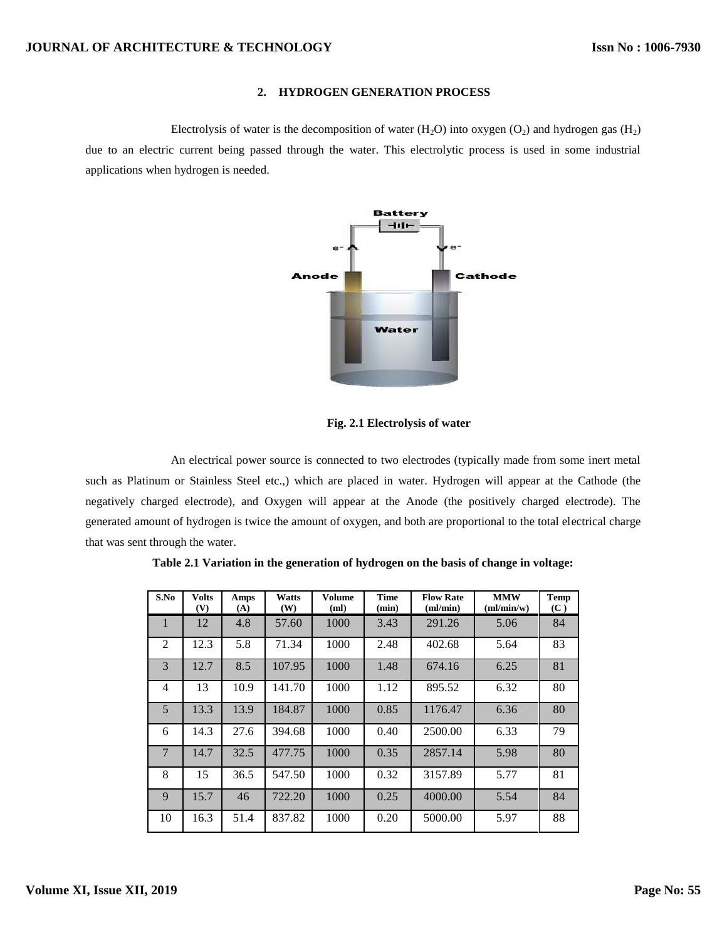# **2. HYDROGEN GENERATION PROCESS**

Electrolysis of water is the decomposition of water  $(H_2O)$  into oxygen  $(O_2)$  and hydrogen gas  $(H_2)$ due to an electric current being passed through the water. This electrolytic process is used in some industrial applications when hydrogen is needed.



 **Fig. 2.1 Electrolysis of water**

An electrical power source is connected to two electrodes (typically made from some inert metal such as Platinum or Stainless Steel etc.,) which are placed in water. Hydrogen will appear at the Cathode (the negatively charged electrode), and Oxygen will appear at the Anode (the positively charged electrode). The generated amount of hydrogen is twice the amount of oxygen, and both are proportional to the total electrical charge that was sent through the water.

| S.No           | <b>Volts</b><br>(V) | Amps<br>(A) | <b>Watts</b><br>(W) | <b>Volume</b><br>(ml) | <b>Time</b><br>(min) | <b>Flow Rate</b><br>ml/min) | <b>MMW</b><br>m/min/w | <b>Temp</b><br>(C) |
|----------------|---------------------|-------------|---------------------|-----------------------|----------------------|-----------------------------|-----------------------|--------------------|
|                | 12                  | 4.8         | 57.60               | 1000                  | 3.43                 | 291.26                      | 5.06                  | 84                 |
| $\mathfrak{D}$ | 12.3                | 5.8         | 71.34               | 1000                  | 2.48                 | 402.68                      | 5.64                  | 83                 |
| 3              | 12.7                | 8.5         | 107.95              | 1000                  | 1.48                 | 674.16                      | 6.25                  | 81                 |
| 4              | 13                  | 10.9        | 141.70              | 1000                  | 1.12                 | 895.52                      | 6.32                  | 80                 |
| 5              | 13.3                | 13.9        | 184.87              | 1000                  | 0.85                 | 1176.47                     | 6.36                  | 80                 |
| 6              | 14.3                | 27.6        | 394.68              | 1000                  | 0.40                 | 2500.00                     | 6.33                  | 79                 |
| $\overline{7}$ | 14.7                | 32.5        | 477.75              | 1000                  | 0.35                 | 2857.14                     | 5.98                  | 80                 |
| 8              | 15                  | 36.5        | 547.50              | 1000                  | 0.32                 | 3157.89                     | 5.77                  | 81                 |
| 9              | 15.7                | 46          | 722.20              | 1000                  | 0.25                 | 4000.00                     | 5.54                  | 84                 |
| 10             | 16.3                | 51.4        | 837.82              | 1000                  | 0.20                 | 5000.00                     | 5.97                  | 88                 |

**Table 2.1 Variation in the generation of hydrogen on the basis of change in voltage:**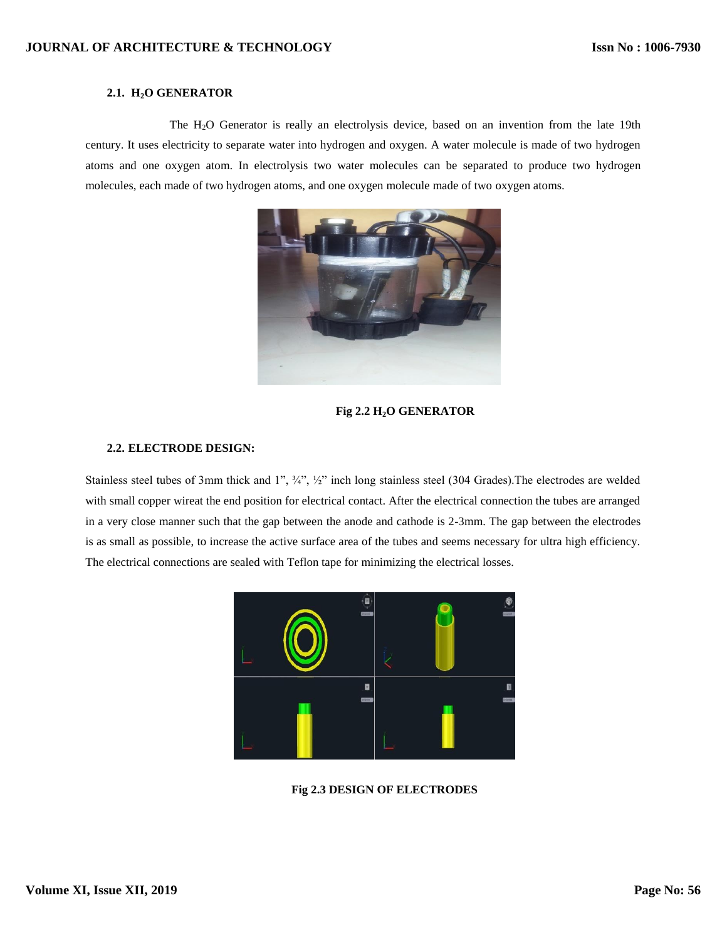# **JOURNAL OF ARCHITECTURE & TECHNOLOGY**

# **2.1. H2O GENERATOR**

The H2O Generator is really an electrolysis device, based on an invention from the late 19th century. It uses electricity to separate water into hydrogen and oxygen. A water molecule is made of two hydrogen atoms and one oxygen atom. In electrolysis two water molecules can be separated to produce two hydrogen molecules, each made of two hydrogen atoms, and one oxygen molecule made of two oxygen atoms.



# **Fig 2.2 H2O GENERATOR**

# **2.2. ELECTRODE DESIGN:**

Stainless steel tubes of 3mm thick and 1", ¾", ½" inch long stainless steel (304 Grades).The electrodes are welded with small copper wireat the end position for electrical contact. After the electrical connection the tubes are arranged in a very close manner such that the gap between the anode and cathode is 2-3mm. The gap between the electrodes is as small as possible, to increase the active surface area of the tubes and seems necessary for ultra high efficiency. The electrical connections are sealed with Teflon tape for minimizing the electrical losses.



**Fig 2.3 DESIGN OF ELECTRODES**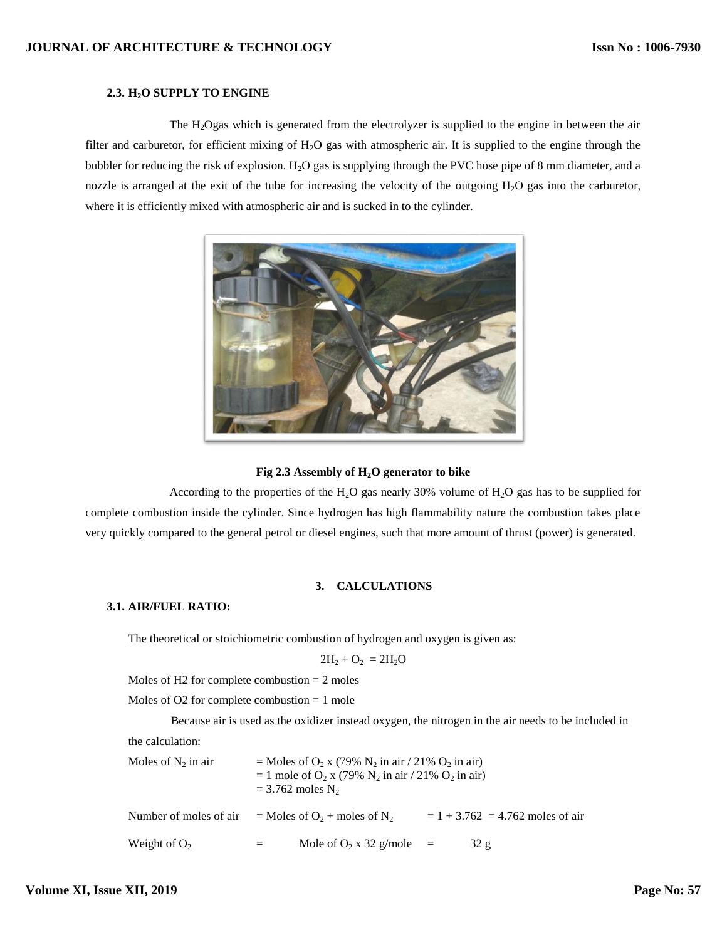# **2.3. H2O SUPPLY TO ENGINE**

The H2Ogas which is generated from the electrolyzer is supplied to the engine in between the air filter and carburetor, for efficient mixing of  $H_2O$  gas with atmospheric air. It is supplied to the engine through the bubbler for reducing the risk of explosion.  $H_2O$  gas is supplying through the PVC hose pipe of 8 mm diameter, and a nozzle is arranged at the exit of the tube for increasing the velocity of the outgoing  $H_2O$  gas into the carburetor, where it is efficiently mixed with atmospheric air and is sucked in to the cylinder.



#### **Fig 2.3 Assembly of H2O generator to bike**

According to the properties of the H<sub>2</sub>O gas nearly 30% volume of H<sub>2</sub>O gas has to be supplied for complete combustion inside the cylinder. Since hydrogen has high flammability nature the combustion takes place very quickly compared to the general petrol or diesel engines, such that more amount of thrust (power) is generated.

# **3. CALCULATIONS**

# **3.1. AIR/FUEL RATIO:**

The theoretical or stoichiometric combustion of hydrogen and oxygen is given as:

$$
2H_2 + O_2 = 2H_2O
$$

Moles of H2 for complete combustion  $= 2$  moles

Moles of O2 for complete combustion = 1 mole

Because air is used as the oxidizer instead oxygen, the nitrogen in the air needs to be included in the calculation:

| Moles of $N_2$ in air  | = Moles of $O_2$ x (79% $N_2$ in air / 21% $O_2$ in air)<br>= 1 mole of $O_2$ x (79% $N_2$ in air / 21% $O_2$ in air)<br>$=$ 3.762 moles N <sub>2</sub> |                                                       |  |                                    |  |
|------------------------|---------------------------------------------------------------------------------------------------------------------------------------------------------|-------------------------------------------------------|--|------------------------------------|--|
| Number of moles of air |                                                                                                                                                         | $=$ Moles of O <sub>2</sub> + moles of N <sub>2</sub> |  | $= 1 + 3.762 = 4.762$ moles of air |  |
| Weight of $O_2$        | $=$ $-$                                                                                                                                                 | Mole of $O_2$ x 32 g/mole =                           |  | 32 g                               |  |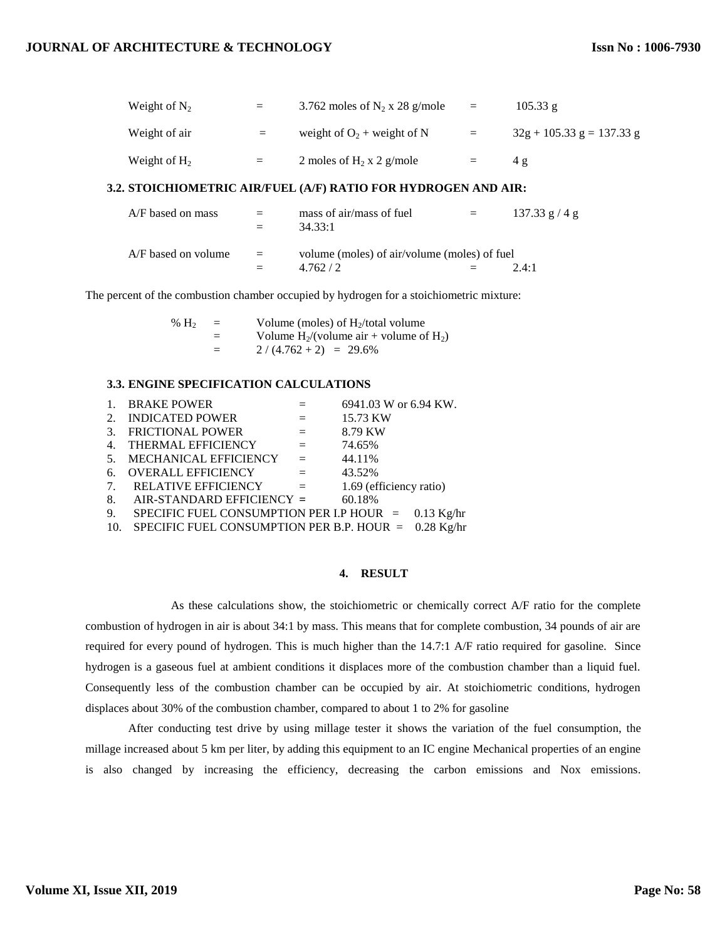| Weight of $N_2$ | $=$ | 3.762 moles of $N_2$ x 28 g/mole | $=$ | $105.33 \text{ g}$          |
|-----------------|-----|----------------------------------|-----|-----------------------------|
| Weight of air   | $=$ | weight of $O_2$ + weight of N    | $=$ | $32g + 105.33 g = 137.33 g$ |
| Weight of $H_2$ | $=$ | 2 moles of $H_2$ x 2 g/mole      | $=$ | 4 g                         |

## **3.2. STOICHIOMETRIC AIR/FUEL (A/F) RATIO FOR HYDROGEN AND AIR:**

| A/F based on mass     | $=$<br>$=$ | mass of air/mass of fuel<br>34.33:1                     | $=$ | $137.33$ g / 4 g |
|-----------------------|------------|---------------------------------------------------------|-----|------------------|
| $A/F$ based on volume | $=$<br>$=$ | volume (moles) of air/volume (moles) of fuel<br>4.762/2 |     | $2.4 \cdot 1$    |

The percent of the combustion chamber occupied by hydrogen for a stoichiometric mixture:

| % $H_2$ | $=$ | Volume (moles) of $H_2$ /total volume         |  |  |
|---------|-----|-----------------------------------------------|--|--|
|         |     | Volume $H_2$ /(volume air + volume of $H_2$ ) |  |  |
|         | $=$ | $2/(4.762+2) = 29.6\%$                        |  |  |

# **3.3. ENGINE SPECIFICATION CALCULATIONS**

| $\mathbf{1}$ . | <b>BRAKE POWER</b>                                       |                           | 6941.03 W or 6.94 KW.   |
|----------------|----------------------------------------------------------|---------------------------|-------------------------|
| 2.             | <b>INDICATED POWER</b><br>and the state of               |                           | 15.73 KW                |
| 3.             | <b>FRICTIONAL POWER</b>                                  | $\mathbf{r} = \mathbf{r}$ | 8.79 KW                 |
|                | 4. THERMAL EFFICIENCY                                    | $\mathbf{r} = \mathbf{r}$ | 74.65%                  |
| 5 <sub>1</sub> | MECHANICAL EFFICIENCY                                    | $\equiv$                  | 44.11%                  |
| 6.             | <b>OVERALL EFFICIENCY</b>                                | $\alpha = 1$              | 43.52%                  |
|                | 7. RELATIVE EFFICIENCY                                   | $\alpha = 1$              | 1.69 (efficiency ratio) |
| 8.             | AIR-STANDARD EFFICIENCY =                                |                           | 60.18%                  |
| 9.             | SPECIFIC FUEL CONSUMPTION PER I.P HOUR = $0.13$ Kg/hr    |                           |                         |
|                | 10. SPECIFIC FUEL CONSUMPTION PER B.P. HOUR = 0.28 Kg/hr |                           |                         |

#### **4. RESULT**

As these calculations show, the stoichiometric or chemically correct A/F ratio for the complete combustion of hydrogen in air is about 34:1 by mass. This means that for complete combustion, 34 pounds of air are required for every pound of hydrogen. This is much higher than the 14.7:1 A/F ratio required for gasoline. Since hydrogen is a gaseous fuel at ambient conditions it displaces more of the combustion chamber than a liquid fuel. Consequently less of the combustion chamber can be occupied by air. At stoichiometric conditions, hydrogen displaces about 30% of the combustion chamber, compared to about 1 to 2% for gasoline

After conducting test drive by using millage tester it shows the variation of the fuel consumption, the millage increased about 5 km per liter, by adding this equipment to an IC engine Mechanical properties of an engine is also changed by increasing the efficiency, decreasing the carbon emissions and Nox emissions.